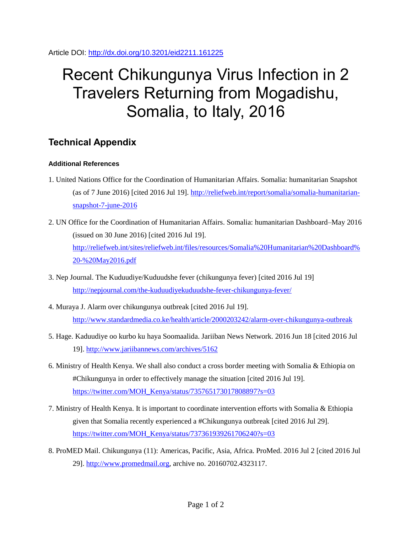Article DOI:<http://dx.doi.org/10.3201/eid2211.161225>

## Recent Chikungunya Virus Infection in 2 Travelers Returning from Mogadishu, Somalia, to Italy, 2016

## **Technical Appendix**

## **Additional References**

- 1. United Nations Office for the Coordination of Humanitarian Affairs. Somalia: humanitarian Snapshot (as of 7 June 2016) [cited 2016 Jul 19]. [http://reliefweb.int/report/somalia/somalia-humanitarian](http://reliefweb.int/report/somalia/somalia-humanitarian-snapshot-7-june-2016)[snapshot-7-june-2016](http://reliefweb.int/report/somalia/somalia-humanitarian-snapshot-7-june-2016)
- 2. UN Office for the Coordination of Humanitarian Affairs. Somalia: humanitarian Dashboard–May 2016 (issued on 30 June 2016) [cited 2016 Jul 19]. [http://reliefweb.int/sites/reliefweb.int/files/resources/Somalia%20Humanitarian%20Dashboard%](http://reliefweb.int/sites/reliefweb.int/files/resources/Somalia%20Humanitarian%20Dashboard%20-%20May2016.pdf) [20-%20May2016.pdf](http://reliefweb.int/sites/reliefweb.int/files/resources/Somalia%20Humanitarian%20Dashboard%20-%20May2016.pdf)
- 3. Nep Journal. The Kuduudiye/Kuduudshe fever (chikungunya fever) [cited 2016 Jul 19] <http://nepjournal.com/the-kuduudiyekuduudshe-fever-chikungunya-fever/>
- 4. Muraya J. Alarm over chikungunya outbreak [cited 2016 Jul 19]. <http://www.standardmedia.co.ke/health/article/2000203242/alarm-over-chikungunya-outbreak>
- 5. Hage. Kaduudiye oo kurbo ku haya Soomaalida. Jariiban News Network. 2016 Jun 18 [cited 2016 Jul 19].<http://www.jariibannews.com/archives/5162>
- 6. Ministry of Health Kenya. We shall also conduct a cross border meeting with Somalia & Ethiopia on #Chikungunya in order to effectively manage the situation [cited 2016 Jul 19]. [https://twitter.com/MOH\\_Kenya/status/735765173017808897?s=03](https://twitter.com/MOH_Kenya/status/735765173017808897?s=03)
- 7. Ministry of Health Kenya. It is important to coordinate intervention efforts with Somalia & Ethiopia given that Somalia recently experienced a #Chikungunya outbreak [cited 2016 Jul 29]. [https://twitter.com/MOH\\_Kenya/status/737361939261706240?s=03](https://twitter.com/MOH_Kenya/status/737361939261706240?s=03)
- 8. ProMED Mail. Chikungunya (11): Americas, Pacific, Asia, Africa. ProMed. 2016 Jul 2 [cited 2016 Jul 29]. [http://www.promedmail.org,](http://www.promedmail.org/) archive no. 20160702.4323117.